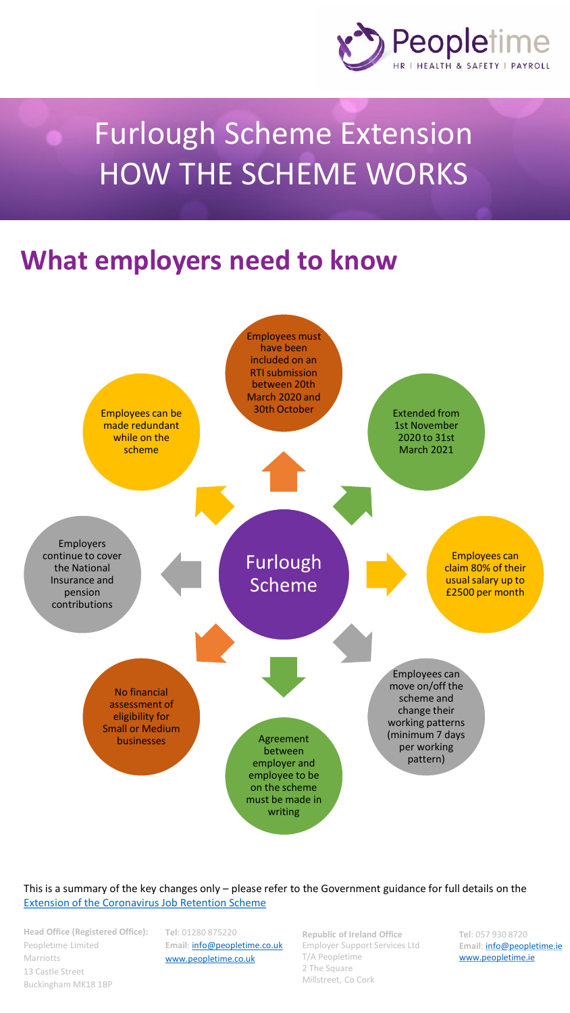

## Furlough Scheme Extension HOW THE SCHEME WORKS

## **What employers need to know**



This is a summary of the key changes only – please refer to the Government guidance for full details on the [Extension of the Coronavirus Job Retention Scheme](https://www.gov.uk/government/publications/extension-to-the-coronavirus-job-retention-scheme/extension-of-the-coronavirus-job-retention-scheme)

**Head Office (Registered Office):**  Peopletime Limited Marriotts 13 Castle Street Buckingham MK18 1BP

**Tel**: 01280 875220 Email: **[info@peopletime.co.uk](mailto:info@peopletime.co.uk)** [www.peopletime.co.uk](http://www.peopletime.co.uk)

**Republic of Ireland Office** Employer Support Services Ltd T/A Peopletime 2 The Square Millstreet, Co Cork

**Tel**: 057 930 8720 **Email**: [info@peopletime.ie](mailto:info@peopletime.ie) [www.peopletime.ie](file://///PEOPLET-SVR03/Data/MARKETING AND SALES/(2) CAMPAIGNS/CAMPAIGNS 2020/HS return to work/www.peopletime.ie)